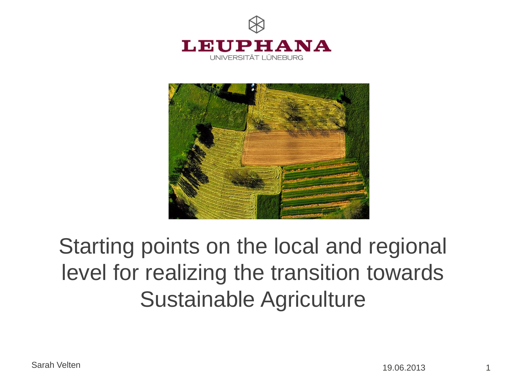



# Starting points on the local and regional level for realizing the transition towards Sustainable Agriculture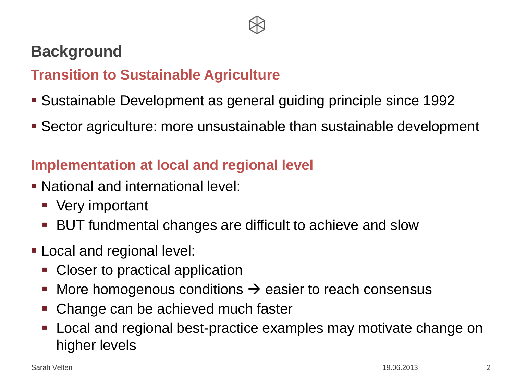

### **Background**

### **Transition to Sustainable Agriculture**

- Sustainable Development as general guiding principle since 1992
- Sector agriculture: more unsustainable than sustainable development

### **Implementation at local and regional level**

- National and international level:
	- **Very important**
	- BUT fundmental changes are difficult to achieve and slow
- **Local and regional level:** 
	- Closer to practical application
	- More homogenous conditions  $\rightarrow$  easier to reach consensus
	- Change can be achieved much faster
	- **-** Local and regional best-practice examples may motivate change on higher levels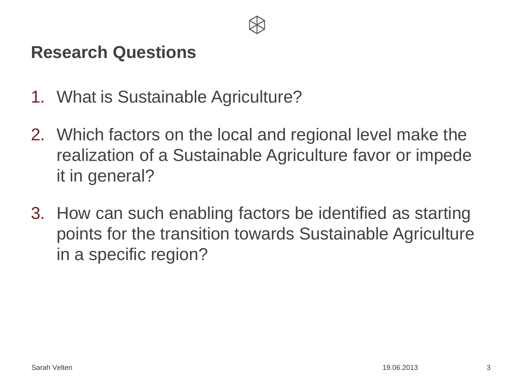

### **Research Questions**

- 1. What is Sustainable Agriculture?
- 2. Which factors on the local and regional level make the realization of a Sustainable Agriculture favor or impede it in general?
- 3. How can such enabling factors be identified as starting points for the transition towards Sustainable Agriculture in a specific region?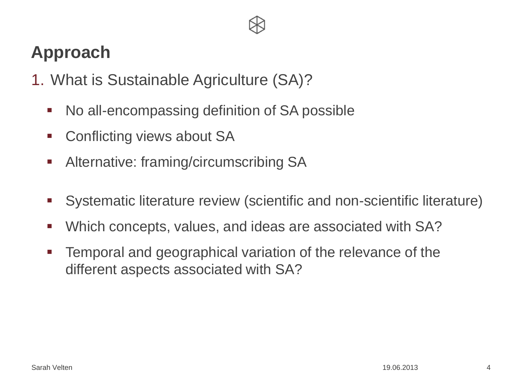## **Approach**

- 1. What is Sustainable Agriculture (SA)?
	- No all-encompassing definition of SA possible
	- Conflicting views about SA
	- Alternative: framing/circumscribing SA
	- Systematic literature review (scientific and non-scientific literature)
	- Which concepts, values, and ideas are associated with SA?
	- Temporal and geographical variation of the relevance of the different aspects associated with SA?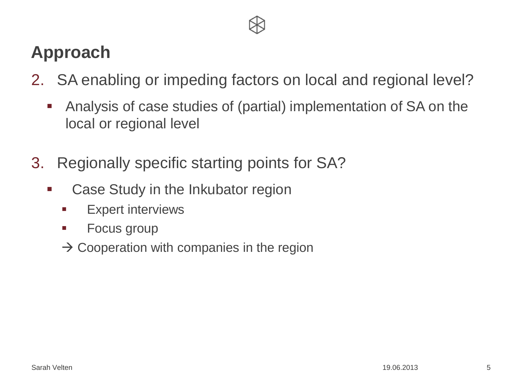## **Approach**

- 2. SA enabling or impeding factors on local and regional level?
	- Analysis of case studies of (partial) implementation of SA on the local or regional level
- 3. Regionally specific starting points for SA?
	- **EXEC** Case Study in the Inkubator region
		- **Expert interviews**
		- Focus group
		- $\rightarrow$  Cooperation with companies in the region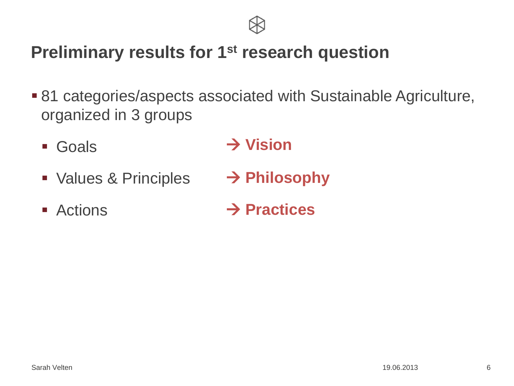

## **Preliminary results for 1st research question**

- 81 categories/aspects associated with Sustainable Agriculture, organized in 3 groups
	- Goals **Vision**
	- **Values & Principles Philosophy**
	- Actions **→ Practices**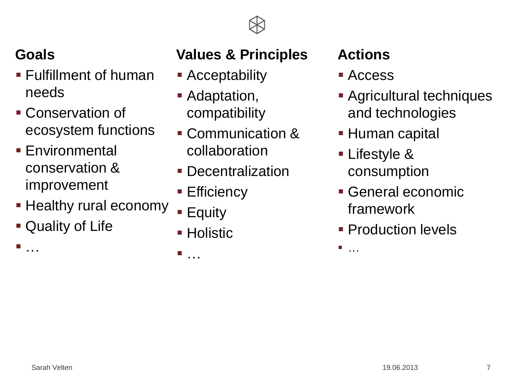

### **Goals**

- Fulfillment of human needs
- Conservation of ecosystem functions
- **Environmental** conservation & improvement
- **Healthy rural economy**
- Quality of Life

…

## **Values & Principles**

- **-** Acceptability
- **Adaptation,** compatibility
- **Communication &** collaboration
- **Decentralization**
- Efficiency
- Equity
- Holistic

…

## **Actions**

- Access
- **Agricultural techniques** and technologies
- **Human capital**
- **Lifestyle &** consumption
- General economic framework
- **Production levels**

■ ……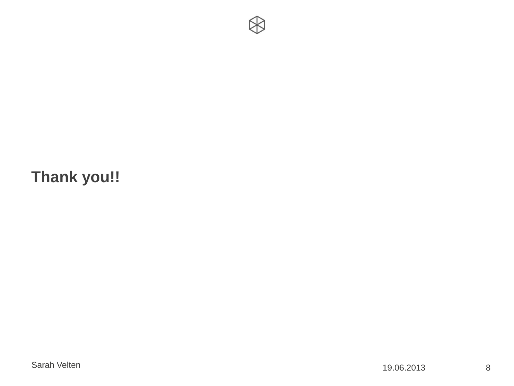

## **Thank you!!**